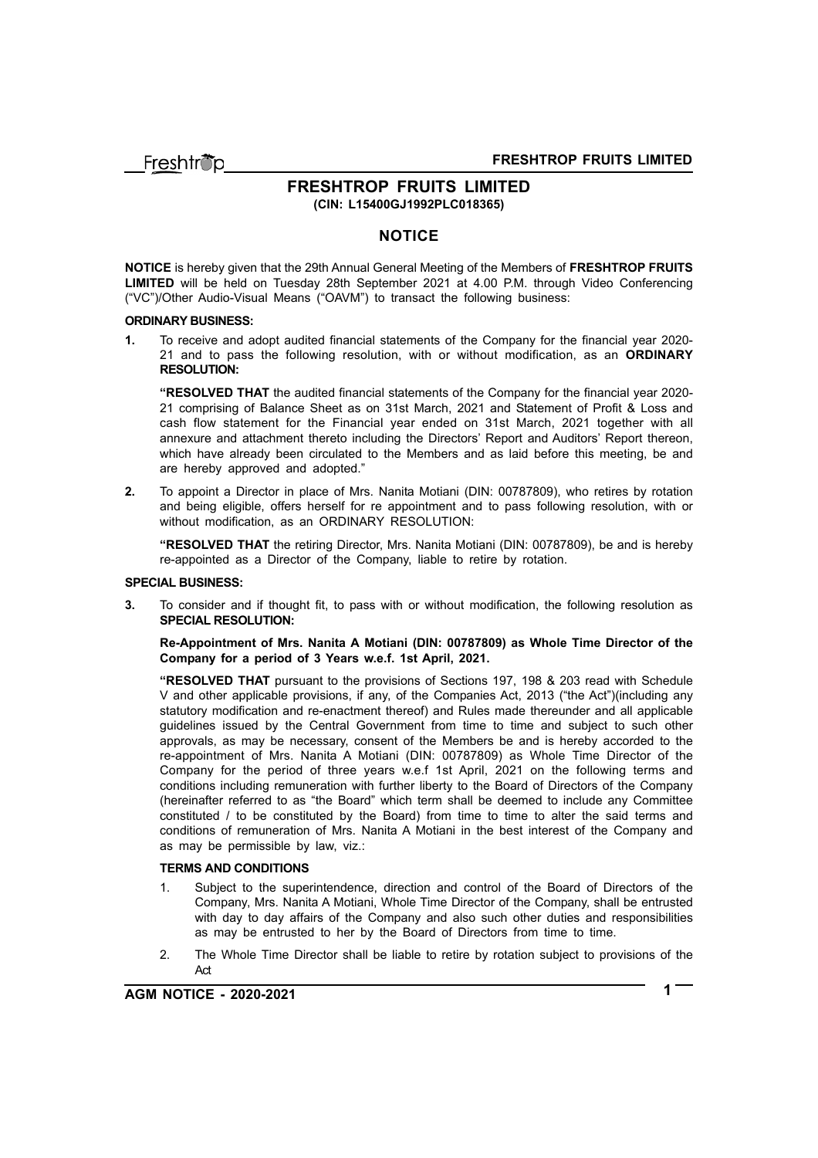Freshtrio

## **FRESHTROP FRUITS LIMITED (CIN: L15400GJ1992PLC018365)**

## **NOTICE**

**NOTICE** is hereby given that the 29th Annual General Meeting of the Members of **FRESHTROP FRUITS LIMITED** will be held on Tuesday 28th September 2021 at 4.00 P.M. through Video Conferencing ("VC")/Other Audio-Visual Means ("OAVM") to transact the following business:

#### **ORDINARY BUSINESS:**

**1.** To receive and adopt audited financial statements of the Company for the financial year 2020- 21 and to pass the following resolution, with or without modification, as an **ORDINARY RESOLUTION:**

**"RESOLVED THAT** the audited financial statements of the Company for the financial year 2020- 21 comprising of Balance Sheet as on 31st March, 2021 and Statement of Profit & Loss and cash flow statement for the Financial year ended on 31st March, 2021 together with all annexure and attachment thereto including the Directors' Report and Auditors' Report thereon, which have already been circulated to the Members and as laid before this meeting, be and are hereby approved and adopted."

**2.** To appoint a Director in place of Mrs. Nanita Motiani (DIN: 00787809), who retires by rotation and being eligible, offers herself for re appointment and to pass following resolution, with or without modification, as an ORDINARY RESOLUTION:

**"RESOLVED THAT** the retiring Director, Mrs. Nanita Motiani (DIN: 00787809), be and is hereby re-appointed as a Director of the Company, liable to retire by rotation.

#### **SPECIAL BUSINESS:**

**3.** To consider and if thought fit, to pass with or without modification, the following resolution as **SPECIAL RESOLUTION:**

**Re-Appointment of Mrs. Nanita A Motiani (DIN: 00787809) as Whole Time Director of the Company for a period of 3 Years w.e.f. 1st April, 2021.**

**"RESOLVED THAT** pursuant to the provisions of Sections 197, 198 & 203 read with Schedule V and other applicable provisions, if any, of the Companies Act, 2013 ("the Act")(including any statutory modification and re-enactment thereof) and Rules made thereunder and all applicable guidelines issued by the Central Government from time to time and subject to such other approvals, as may be necessary, consent of the Members be and is hereby accorded to the re-appointment of Mrs. Nanita A Motiani (DIN: 00787809) as Whole Time Director of the Company for the period of three years w.e.f 1st April, 2021 on the following terms and conditions including remuneration with further liberty to the Board of Directors of the Company (hereinafter referred to as "the Board" which term shall be deemed to include any Committee constituted / to be constituted by the Board) from time to time to alter the said terms and conditions of remuneration of Mrs. Nanita A Motiani in the best interest of the Company and as may be permissible by law, viz.:

#### **TERMS AND CONDITIONS**

- 1. Subject to the superintendence, direction and control of the Board of Directors of the Company, Mrs. Nanita A Motiani, Whole Time Director of the Company, shall be entrusted with day to day affairs of the Company and also such other duties and responsibilities as may be entrusted to her by the Board of Directors from time to time.
- 2. The Whole Time Director shall be liable to retire by rotation subject to provisions of the Act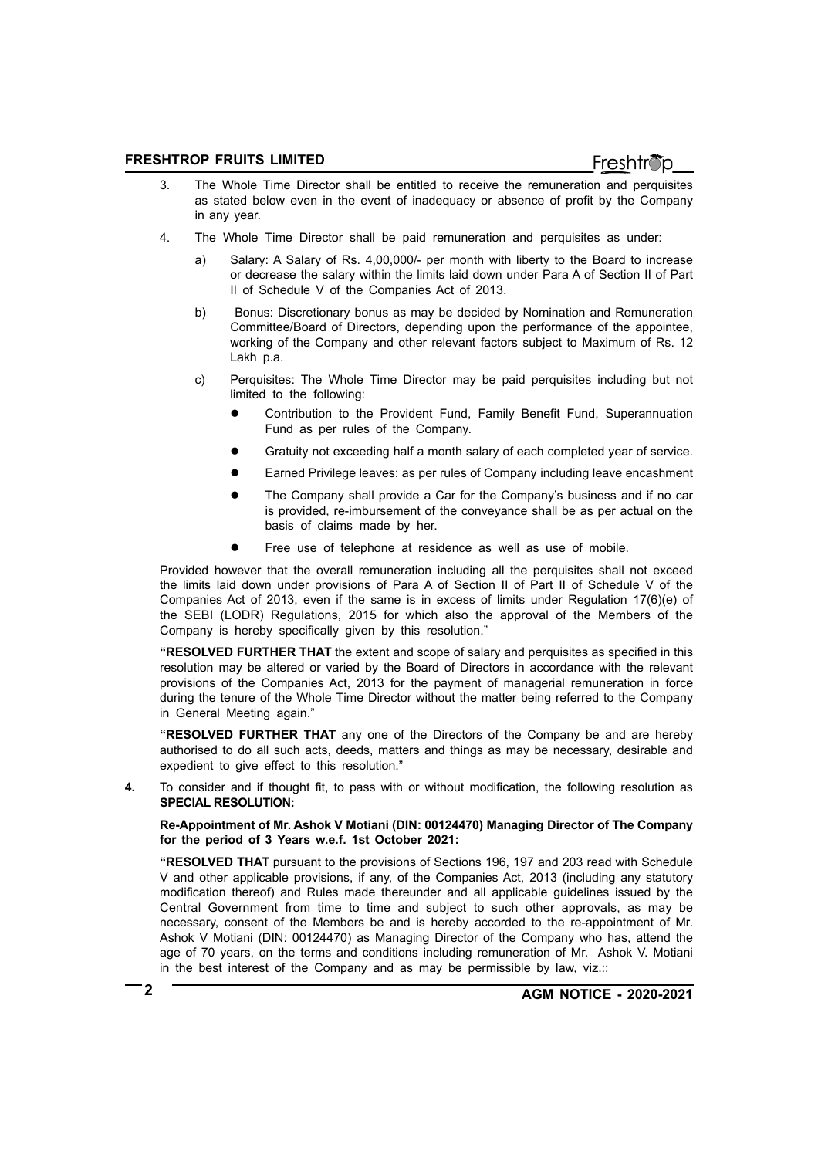- 3. The Whole Time Director shall be entitled to receive the remuneration and perquisites as stated below even in the event of inadequacy or absence of profit by the Company in any year.
- 4. The Whole Time Director shall be paid remuneration and perquisites as under:
	- a) Salary: A Salary of Rs. 4,00,000/- per month with liberty to the Board to increase or decrease the salary within the limits laid down under Para A of Section II of Part II of Schedule V of the Companies Act of 2013.
	- b) Bonus: Discretionary bonus as may be decided by Nomination and Remuneration Committee/Board of Directors, depending upon the performance of the appointee, working of the Company and other relevant factors subject to Maximum of Rs. 12 Lakh p.a.
	- c) Perquisites: The Whole Time Director may be paid perquisites including but not limited to the following:
		- Contribution to the Provident Fund, Family Benefit Fund, Superannuation Fund as per rules of the Company.
		- Gratuity not exceeding half a month salary of each completed year of service.
		- Earned Privilege leaves: as per rules of Company including leave encashment
		- The Company shall provide a Car for the Company's business and if no car is provided, re-imbursement of the conveyance shall be as per actual on the basis of claims made by her.
		- Free use of telephone at residence as well as use of mobile.

Provided however that the overall remuneration including all the perquisites shall not exceed the limits laid down under provisions of Para A of Section II of Part II of Schedule V of the Companies Act of 2013, even if the same is in excess of limits under Regulation 17(6)(e) of the SEBI (LODR) Regulations, 2015 for which also the approval of the Members of the Company is hereby specifically given by this resolution."

**"RESOLVED FURTHER THAT** the extent and scope of salary and perquisites as specified in this resolution may be altered or varied by the Board of Directors in accordance with the relevant provisions of the Companies Act, 2013 for the payment of managerial remuneration in force during the tenure of the Whole Time Director without the matter being referred to the Company in General Meeting again."

**"RESOLVED FURTHER THAT** any one of the Directors of the Company be and are hereby authorised to do all such acts, deeds, matters and things as may be necessary, desirable and expedient to give effect to this resolution."

**4.** To consider and if thought fit, to pass with or without modification, the following resolution as **SPECIAL RESOLUTION:**

**Re-Appointment of Mr. Ashok V Motiani (DIN: 00124470) Managing Director of The Company for the period of 3 Years w.e.f. 1st October 2021:**

**"RESOLVED THAT** pursuant to the provisions of Sections 196, 197 and 203 read with Schedule V and other applicable provisions, if any, of the Companies Act, 2013 (including any statutory modification thereof) and Rules made thereunder and all applicable guidelines issued by the Central Government from time to time and subject to such other approvals, as may be necessary, consent of the Members be and is hereby accorded to the re-appointment of Mr. Ashok V Motiani (DIN: 00124470) as Managing Director of the Company who has, attend the age of 70 years, on the terms and conditions including remuneration of Mr. Ashok V. Motiani in the best interest of the Company and as may be permissible by law, viz.::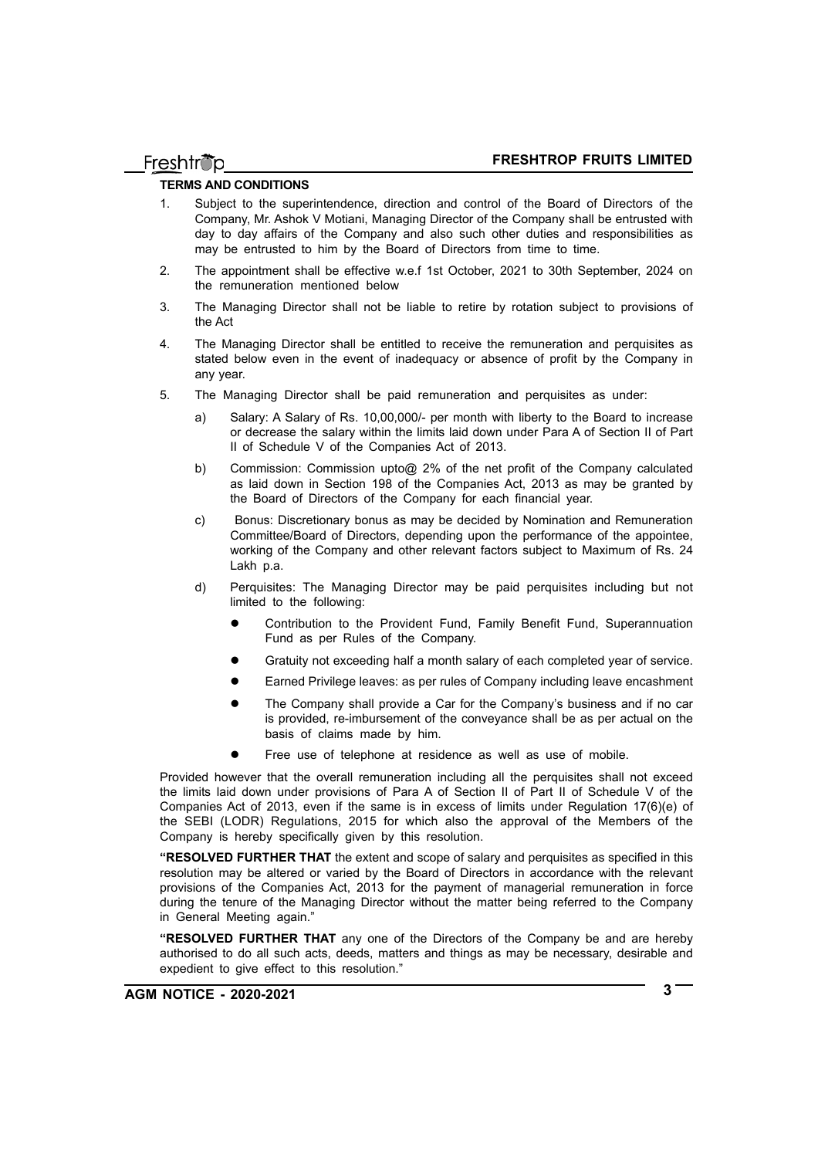#### **TERMS AND CONDITIONS**

- 1. Subject to the superintendence, direction and control of the Board of Directors of the Company, Mr. Ashok V Motiani, Managing Director of the Company shall be entrusted with day to day affairs of the Company and also such other duties and responsibilities as may be entrusted to him by the Board of Directors from time to time.
- 2. The appointment shall be effective w.e.f 1st October, 2021 to 30th September, 2024 on the remuneration mentioned below
- 3. The Managing Director shall not be liable to retire by rotation subject to provisions of the Act
- 4. The Managing Director shall be entitled to receive the remuneration and perquisites as stated below even in the event of inadequacy or absence of profit by the Company in any year.
- 5. The Managing Director shall be paid remuneration and perquisites as under:
	- a) Salary: A Salary of Rs. 10,00,000/- per month with liberty to the Board to increase or decrease the salary within the limits laid down under Para A of Section II of Part II of Schedule V of the Companies Act of 2013.
	- b) Commission: Commission upto@ 2% of the net profit of the Company calculated as laid down in Section 198 of the Companies Act, 2013 as may be granted by the Board of Directors of the Company for each financial year.
	- c) Bonus: Discretionary bonus as may be decided by Nomination and Remuneration Committee/Board of Directors, depending upon the performance of the appointee, working of the Company and other relevant factors subject to Maximum of Rs. 24 Lakh p.a.
	- d) Perquisites: The Managing Director may be paid perquisites including but not limited to the following:
		- Contribution to the Provident Fund, Family Benefit Fund, Superannuation Fund as per Rules of the Company.
		- Gratuity not exceeding half a month salary of each completed year of service.
		- Earned Privilege leaves: as per rules of Company including leave encashment
		- The Company shall provide a Car for the Company's business and if no car is provided, re-imbursement of the conveyance shall be as per actual on the basis of claims made by him.
		- Free use of telephone at residence as well as use of mobile.

Provided however that the overall remuneration including all the perquisites shall not exceed the limits laid down under provisions of Para A of Section II of Part II of Schedule V of the Companies Act of 2013, even if the same is in excess of limits under Regulation 17(6)(e) of the SEBI (LODR) Regulations, 2015 for which also the approval of the Members of the Company is hereby specifically given by this resolution.

**"RESOLVED FURTHER THAT** the extent and scope of salary and perquisites as specified in this resolution may be altered or varied by the Board of Directors in accordance with the relevant provisions of the Companies Act, 2013 for the payment of managerial remuneration in force during the tenure of the Managing Director without the matter being referred to the Company in General Meeting again."

**"RESOLVED FURTHER THAT** any one of the Directors of the Company be and are hereby authorised to do all such acts, deeds, matters and things as may be necessary, desirable and expedient to give effect to this resolution."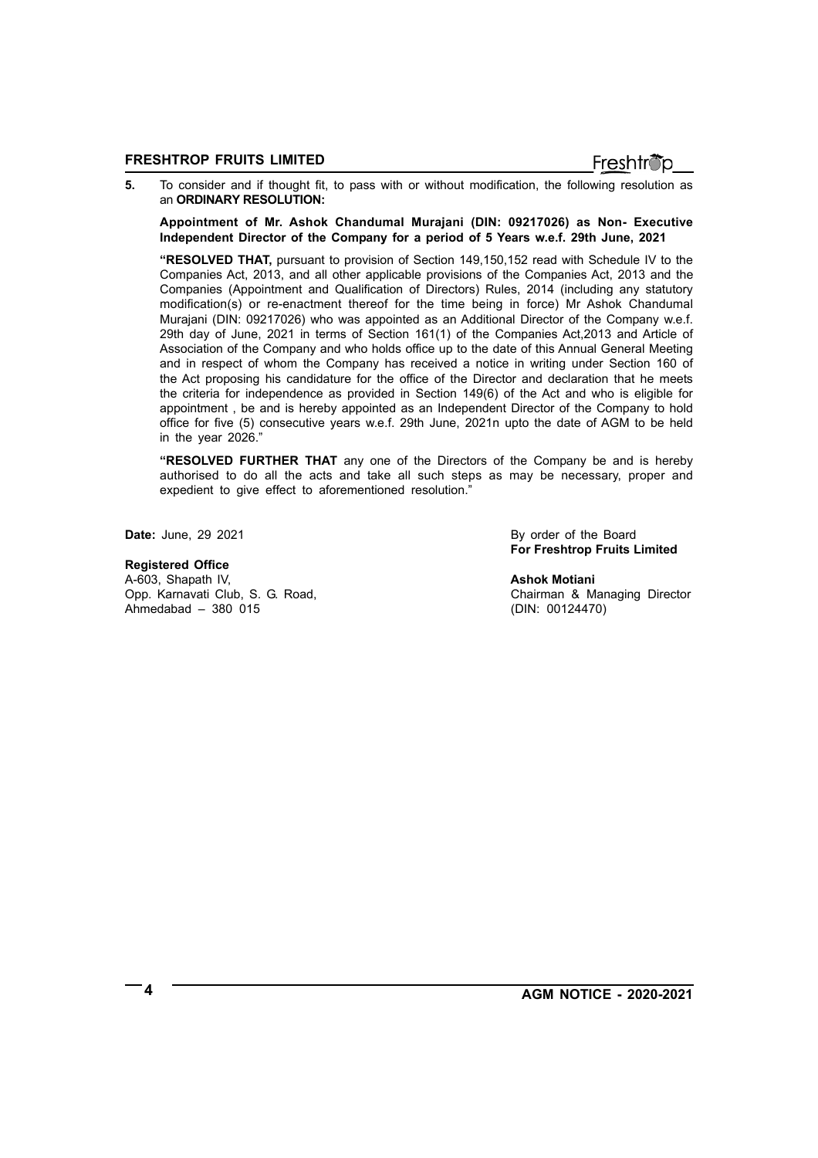**5.** To consider and if thought fit, to pass with or without modification, the following resolution as an **ORDINARY RESOLUTION:**

**Appointment of Mr. Ashok Chandumal Murajani (DIN: 09217026) as Non- Executive Independent Director of the Company for a period of 5 Years w.e.f. 29th June, 2021**

**"RESOLVED THAT,** pursuant to provision of Section 149,150,152 read with Schedule IV to the Companies Act, 2013, and all other applicable provisions of the Companies Act, 2013 and the Companies (Appointment and Qualification of Directors) Rules, 2014 (including any statutory modification(s) or re-enactment thereof for the time being in force) Mr Ashok Chandumal Murajani (DIN: 09217026) who was appointed as an Additional Director of the Company w.e.f. 29th day of June, 2021 in terms of Section 161(1) of the Companies Act,2013 and Article of Association of the Company and who holds office up to the date of this Annual General Meeting and in respect of whom the Company has received a notice in writing under Section 160 of the Act proposing his candidature for the office of the Director and declaration that he meets the criteria for independence as provided in Section 149(6) of the Act and who is eligible for appointment , be and is hereby appointed as an Independent Director of the Company to hold office for five (5) consecutive years w.e.f. 29th June, 2021n upto the date of AGM to be held in the year 2026."

**"RESOLVED FURTHER THAT** any one of the Directors of the Company be and is hereby authorised to do all the acts and take all such steps as may be necessary, proper and expedient to give effect to aforementioned resolution."

## **Registered Office**

A-603, Shapath IV, **Ashok Motiani** Opp. Karnavati Club, S. G. Road, Chairman & Managing Director Ahmedabad – 380 015 (DIN: 00124470)

**Date:** June, 29 2021 **By order of the Board For Freshtrop Fruits Limited**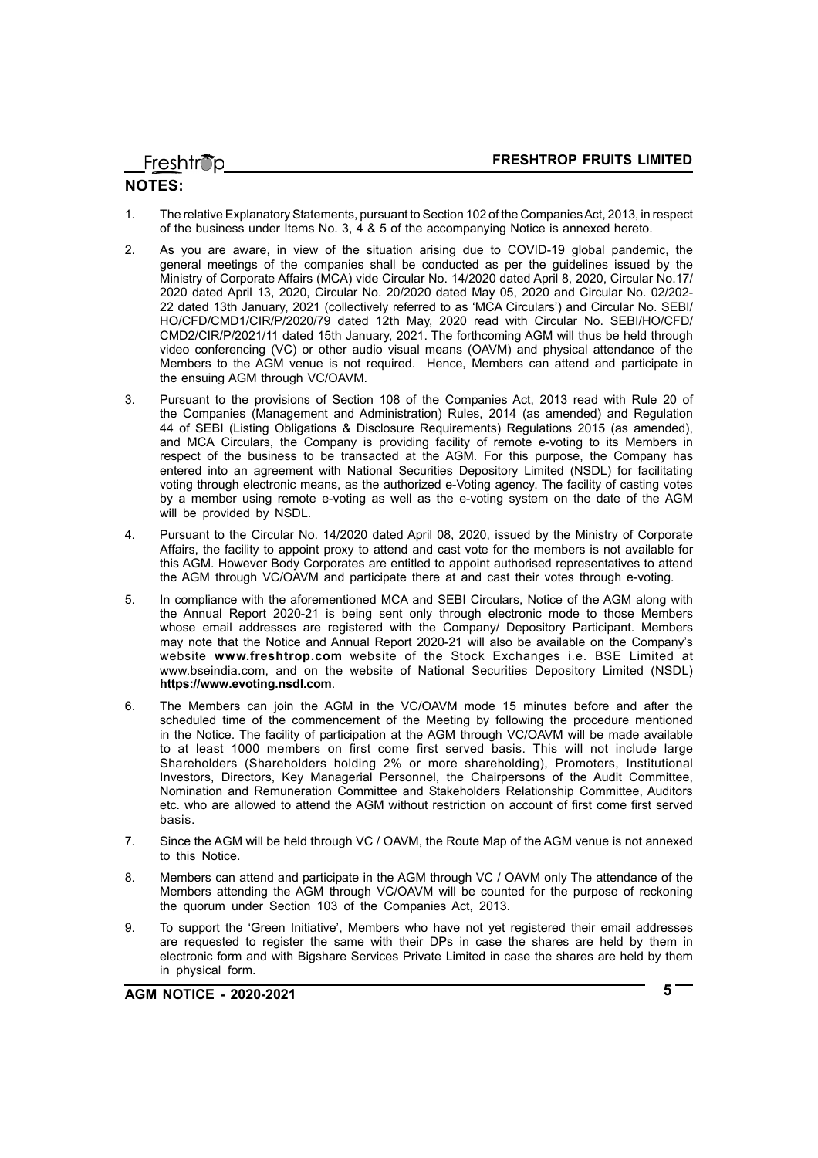Freshtröp

## **NOTES:**

- 1. The relative Explanatory Statements, pursuant to Section 102 of the Companies Act, 2013, in respect of the business under Items No. 3, 4 & 5 of the accompanying Notice is annexed hereto.
- 2. As you are aware, in view of the situation arising due to COVID-19 global pandemic, the general meetings of the companies shall be conducted as per the guidelines issued by the Ministry of Corporate Affairs (MCA) vide Circular No. 14/2020 dated April 8, 2020, Circular No.17/ 2020 dated April 13, 2020, Circular No. 20/2020 dated May 05, 2020 and Circular No. 02/202- 22 dated 13th January, 2021 (collectively referred to as 'MCA Circulars') and Circular No. SEBI/ HO/CFD/CMD1/CIR/P/2020/79 dated 12th May, 2020 read with Circular No. SEBI/HO/CFD/ CMD2/CIR/P/2021/11 dated 15th January, 2021. The forthcoming AGM will thus be held through video conferencing (VC) or other audio visual means (OAVM) and physical attendance of the Members to the AGM venue is not required. Hence, Members can attend and participate in the ensuing AGM through VC/OAVM.
- 3. Pursuant to the provisions of Section 108 of the Companies Act, 2013 read with Rule 20 of the Companies (Management and Administration) Rules, 2014 (as amended) and Regulation 44 of SEBI (Listing Obligations & Disclosure Requirements) Regulations 2015 (as amended), and MCA Circulars, the Company is providing facility of remote e-voting to its Members in respect of the business to be transacted at the AGM. For this purpose, the Company has entered into an agreement with National Securities Depository Limited (NSDL) for facilitating voting through electronic means, as the authorized e-Voting agency. The facility of casting votes by a member using remote e-voting as well as the e-voting system on the date of the AGM will be provided by NSDL.
- 4. Pursuant to the Circular No. 14/2020 dated April 08, 2020, issued by the Ministry of Corporate Affairs, the facility to appoint proxy to attend and cast vote for the members is not available for this AGM. However Body Corporates are entitled to appoint authorised representatives to attend the AGM through VC/OAVM and participate there at and cast their votes through e-voting.
- 5. In compliance with the aforementioned MCA and SEBI Circulars, Notice of the AGM along with the Annual Report 2020-21 is being sent only through electronic mode to those Members whose email addresses are registered with the Company/ Depository Participant. Members may note that the Notice and Annual Report 2020-21 will also be available on the Company's website **www.freshtrop.com** website of the Stock Exchanges i.e. BSE Limited at www.bseindia.com, and on the website of National Securities Depository Limited (NSDL) **https://www.evoting.nsdl.com**.
- 6. The Members can join the AGM in the VC/OAVM mode 15 minutes before and after the scheduled time of the commencement of the Meeting by following the procedure mentioned in the Notice. The facility of participation at the AGM through VC/OAVM will be made available to at least 1000 members on first come first served basis. This will not include large Shareholders (Shareholders holding 2% or more shareholding), Promoters, Institutional Investors. Directors, Key Managerial Personnel, the Chairpersons of the Audit Committee, Nomination and Remuneration Committee and Stakeholders Relationship Committee, Auditors etc. who are allowed to attend the AGM without restriction on account of first come first served basis.
- 7. Since the AGM will be held through VC / OAVM, the Route Map of the AGM venue is not annexed to this Notice.
- 8. Members can attend and participate in the AGM through VC / OAVM only The attendance of the Members attending the AGM through VC/OAVM will be counted for the purpose of reckoning the quorum under Section 103 of the Companies Act, 2013.
- 9. To support the 'Green Initiative', Members who have not yet registered their email addresses are requested to register the same with their DPs in case the shares are held by them in electronic form and with Bigshare Services Private Limited in case the shares are held by them in physical form.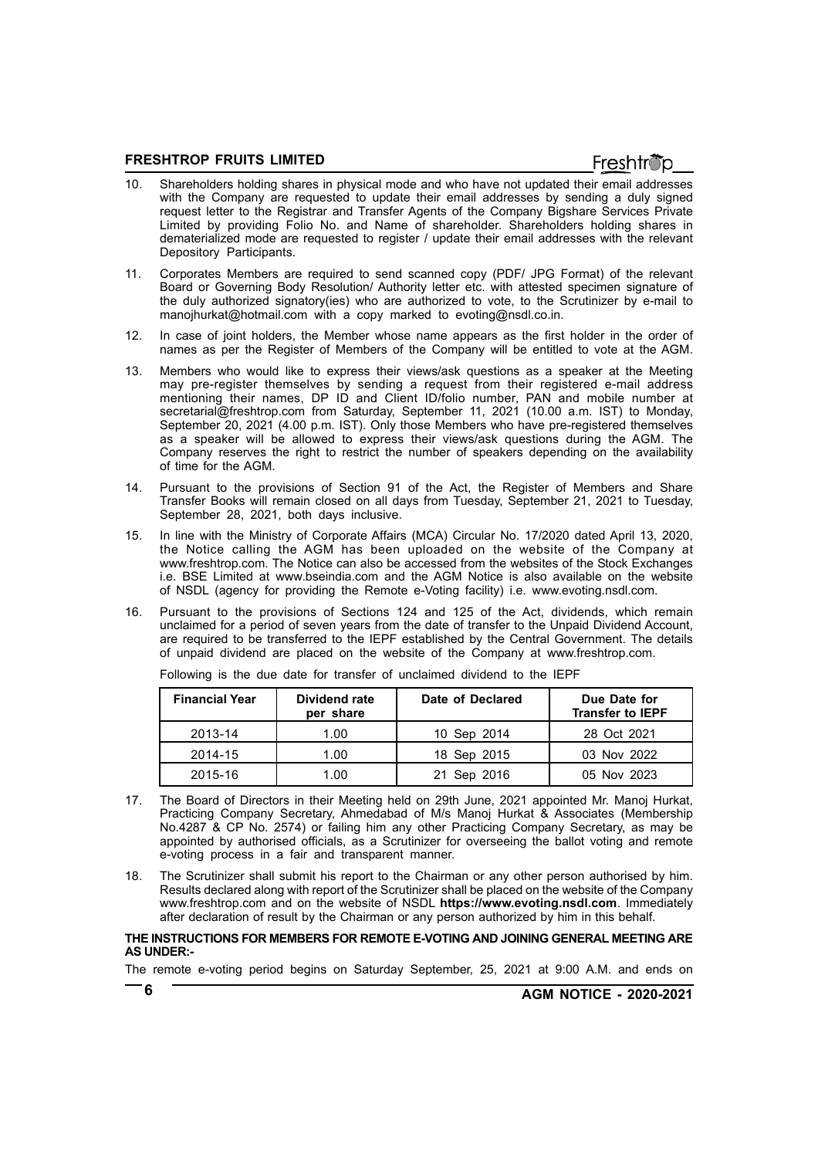- 10. Shareholders holding shares in physical mode and who have not updated their email addresses with the Company are requested to update their email addresses by sending a duly signed request letter to the Registrar and Transfer Agents of the Company Bigshare Services Private Limited by providing Folio No. and Name of shareholder. Shareholders holding shares in dematerialized mode are requested to register / update their email addresses with the relevant Depository Participants.
- 11. Corporates Members are required to send scanned copy (PDF/ JPG Format) of the relevant Board or Governing Body Resolution/ Authority letter etc. with attested specimen signature of the duly authorized signatory(ies) who are authorized to vote, to the Scrutinizer by e-mail to manojhurkat@hotmail.com with a copy marked to evoting@nsdl.co.in.
- 12. In case of joint holders, the Member whose name appears as the first holder in the order of names as per the Register of Members of the Company will be entitled to vote at the AGM.
- 13. Members who would like to express their views/ask questions as a speaker at the Meeting may pre-register themselves by sending a request from their registered e-mail address mentioning their names, DP ID and Client ID/folio number, PAN and mobile number at secretarial@freshtrop.com from Saturday, September 11, 2021 (10.00 a.m. IST) to Monday, September 20, 2021 (4.00 p.m. IST). Only those Members who have pre-registered themselves as a speaker will be allowed to express their views/ask questions during the AGM. The Company reserves the right to restrict the number of speakers depending on the availability of time for the AGM.
- 14. Pursuant to the provisions of Section 91 of the Act, the Register of Members and Share Transfer Books will remain closed on all days from Tuesday, September 21, 2021 to Tuesday, September 28, 2021, both days inclusive.
- 15. In line with the Ministry of Corporate Affairs (MCA) Circular No. 17/2020 dated April 13, 2020, the Notice calling the AGM has been uploaded on the website of the Company at www.freshtrop.com. The Notice can also be accessed from the websites of the Stock Exchanges i.e. BSE Limited at www.bseindia.com and the AGM Notice is also available on the website of NSDL (agency for providing the Remote e-Voting facility) i.e. www.evoting.nsdl.com.
- 16. Pursuant to the provisions of Sections 124 and 125 of the Act, dividends, which remain unclaimed for a period of seven years from the date of transfer to the Unpaid Dividend Account, are required to be transferred to the IEPF established by the Central Government. The details of unpaid dividend are placed on the website of the Company at www.freshtrop.com.

| <b>Financial Year</b> | Dividend rate<br>per share | Date of Declared | Due Date for<br><b>Transfer to IEPF</b> |
|-----------------------|----------------------------|------------------|-----------------------------------------|
| 2013-14               | 1.00                       | 10 Sep 2014      | 28 Oct 2021                             |
| 2014-15               | 1.00                       | 18 Sep 2015      | 03 Nov 2022                             |
| 2015-16               | 1.00                       | 21 Sep 2016      | 05 Nov 2023                             |

Following is the due date for transfer of unclaimed dividend to the IEPF

- 17. The Board of Directors in their Meeting held on 29th June, 2021 appointed Mr. Manoj Hurkat, Practicing Company Secretary, Ahmedabad of M/s Manoj Hurkat & Associates (Membership No.4287 & CP No. 2574) or failing him any other Practicing Company Secretary, as may be appointed by authorised officials, as a Scrutinizer for overseeing the ballot voting and remote e-voting process in a fair and transparent manner.
- 18. The Scrutinizer shall submit his report to the Chairman or any other person authorised by him. Results declared along with report of the Scrutinizer shall be placed on the website of the Company www.freshtrop.com and on the website of NSDL **https://www.evoting.nsdl.com**. Immediately after declaration of result by the Chairman or any person authorized by him in this behalf.

#### **THE INSTRUCTIONS FOR MEMBERS FOR REMOTE E-VOTING AND JOINING GENERAL MEETING ARE AS UNDER:-**

The remote e-voting period begins on Saturday September, 25, 2021 at 9:00 A.M. and ends on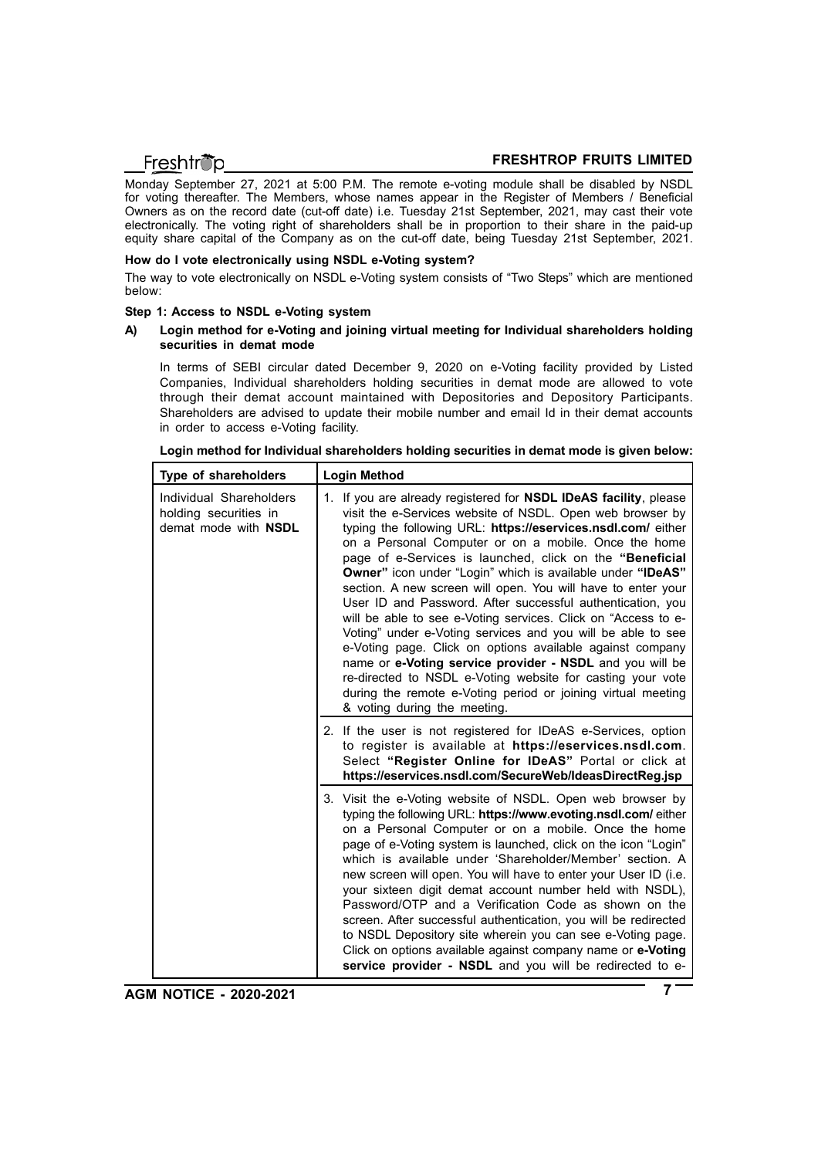Monday September 27, 2021 at 5:00 P.M. The remote e-voting module shall be disabled by NSDL for voting thereafter. The Members, whose names appear in the Register of Members / Beneficial Owners as on the record date (cut-off date) i.e. Tuesday 21st September, 2021, may cast their vote electronically. The voting right of shareholders shall be in proportion to their share in the paid-up equity share capital of the Company as on the cut-off date, being Tuesday 21st September, 2021.

#### **How do I vote electronically using NSDL e-Voting system?**

The way to vote electronically on NSDL e-Voting system consists of "Two Steps" which are mentioned below:

#### **Step 1: Access to NSDL e-Voting system**

#### **A) Login method for e-Voting and joining virtual meeting for Individual shareholders holding securities in demat mode**

In terms of SEBI circular dated December 9, 2020 on e-Voting facility provided by Listed Companies, Individual shareholders holding securities in demat mode are allowed to vote through their demat account maintained with Depositories and Depository Participants. Shareholders are advised to update their mobile number and email Id in their demat accounts in order to access e-Voting facility.

| Type of shareholders                                                     | <b>Login Method</b>                                                                                                                                                                                                                                                                                                                                                                                                                                                                                                                                                                                                                                                                                                                                                                                                                                                                                                                  |
|--------------------------------------------------------------------------|--------------------------------------------------------------------------------------------------------------------------------------------------------------------------------------------------------------------------------------------------------------------------------------------------------------------------------------------------------------------------------------------------------------------------------------------------------------------------------------------------------------------------------------------------------------------------------------------------------------------------------------------------------------------------------------------------------------------------------------------------------------------------------------------------------------------------------------------------------------------------------------------------------------------------------------|
| Individual Shareholders<br>holding securities in<br>demat mode with NSDL | 1. If you are already registered for NSDL IDeAS facility, please<br>visit the e-Services website of NSDL. Open web browser by<br>typing the following URL: https://eservices.nsdl.com/ either<br>on a Personal Computer or on a mobile. Once the home<br>page of e-Services is launched, click on the "Beneficial<br>Owner" icon under "Login" which is available under "IDeAS"<br>section. A new screen will open. You will have to enter your<br>User ID and Password. After successful authentication, you<br>will be able to see e-Voting services. Click on "Access to e-<br>Voting" under e-Voting services and you will be able to see<br>e-Voting page. Click on options available against company<br>name or e-Voting service provider - NSDL and you will be<br>re-directed to NSDL e-Voting website for casting your vote<br>during the remote e-Voting period or joining virtual meeting<br>& voting during the meeting. |
|                                                                          | 2. If the user is not registered for IDeAS e-Services, option<br>to register is available at https://eservices.nsdl.com.<br>Select "Register Online for IDeAS" Portal or click at<br>https://eservices.nsdl.com/SecureWeb/IdeasDirectReg.jsp                                                                                                                                                                                                                                                                                                                                                                                                                                                                                                                                                                                                                                                                                         |
|                                                                          | 3. Visit the e-Voting website of NSDL. Open web browser by<br>typing the following URL: https://www.evoting.nsdl.com/ either<br>on a Personal Computer or on a mobile. Once the home<br>page of e-Voting system is launched, click on the icon "Login"<br>which is available under 'Shareholder/Member' section. A<br>new screen will open. You will have to enter your User ID (i.e.<br>your sixteen digit demat account number held with NSDL),<br>Password/OTP and a Verification Code as shown on the<br>screen. After successful authentication, you will be redirected<br>to NSDL Depository site wherein you can see e-Voting page.<br>Click on options available against company name or e-Voting<br>service provider - NSDL and you will be redirected to e-                                                                                                                                                                |

| Login method for Individual shareholders holding securities in demat mode is given below: |  |  |
|-------------------------------------------------------------------------------------------|--|--|
|                                                                                           |  |  |

**AGM NOTICE - 2020-2021 7**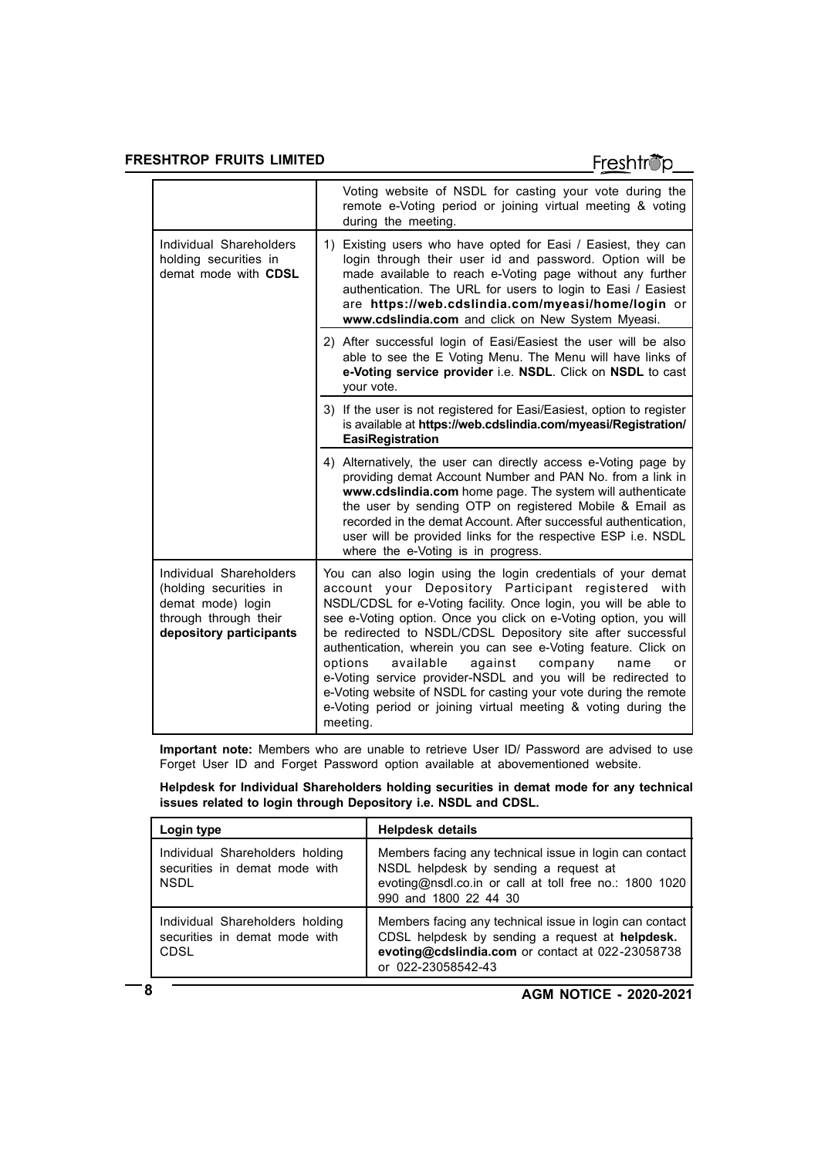# Freshtröp

|                                                                                                                            | Voting website of NSDL for casting your vote during the<br>remote e-Voting period or joining virtual meeting & voting<br>during the meeting.                                                                                                                                                                                                                                                                                                                                                                                                                                                                                                                               |  |
|----------------------------------------------------------------------------------------------------------------------------|----------------------------------------------------------------------------------------------------------------------------------------------------------------------------------------------------------------------------------------------------------------------------------------------------------------------------------------------------------------------------------------------------------------------------------------------------------------------------------------------------------------------------------------------------------------------------------------------------------------------------------------------------------------------------|--|
| Individual Shareholders<br>holding securities in<br>demat mode with CDSL                                                   | 1) Existing users who have opted for Easi / Easiest, they can<br>login through their user id and password. Option will be<br>made available to reach e-Voting page without any further<br>authentication. The URL for users to login to Easi / Easiest<br>are https://web.cdslindia.com/myeasi/home/login or<br>www.cdslindia.com and click on New System Myeasi.                                                                                                                                                                                                                                                                                                          |  |
|                                                                                                                            | 2) After successful login of Easi/Easiest the user will be also<br>able to see the E Voting Menu. The Menu will have links of<br>e-Voting service provider i.e. NSDL. Click on NSDL to cast<br>your vote.                                                                                                                                                                                                                                                                                                                                                                                                                                                                  |  |
|                                                                                                                            | 3) If the user is not registered for Easi/Easiest, option to register<br>is available at https://web.cdslindia.com/myeasi/Registration/<br>EasiRegistration                                                                                                                                                                                                                                                                                                                                                                                                                                                                                                                |  |
|                                                                                                                            | 4) Alternatively, the user can directly access e-Voting page by<br>providing demat Account Number and PAN No. from a link in<br>www.cdslindia.com home page. The system will authenticate<br>the user by sending OTP on registered Mobile & Email as<br>recorded in the demat Account. After successful authentication,<br>user will be provided links for the respective ESP i.e. NSDL<br>where the e-Voting is in progress.                                                                                                                                                                                                                                              |  |
| Individual Shareholders<br>(holding securities in<br>demat mode) login<br>through through their<br>depository participants | You can also login using the login credentials of your demat<br>account your Depository Participant registered with<br>NSDL/CDSL for e-Voting facility. Once login, you will be able to<br>see e-Voting option. Once you click on e-Voting option, you will<br>be redirected to NSDL/CDSL Depository site after successful<br>authentication, wherein you can see e-Voting feature. Click on<br>options<br>available<br>against<br>company<br>name<br>or<br>e-Voting service provider-NSDL and you will be redirected to<br>e-Voting website of NSDL for casting your vote during the remote<br>e-Voting period or joining virtual meeting & voting during the<br>meeting. |  |

**Important note:** Members who are unable to retrieve User ID/ Password are advised to use Forget User ID and Forget Password option available at abovementioned website.

**Helpdesk for Individual Shareholders holding securities in demat mode for any technical issues related to login through Depository i.e. NSDL and CDSL.**

| Login type                                                                      | <b>Helpdesk details</b>                                                                                                                                                              |  |
|---------------------------------------------------------------------------------|--------------------------------------------------------------------------------------------------------------------------------------------------------------------------------------|--|
| Individual Shareholders holding<br>securities in demat mode with<br><b>NSDL</b> | Members facing any technical issue in login can contact<br>NSDL helpdesk by sending a request at<br>evoting@nsdl.co.in or call at toll free no.: 1800 1020<br>990 and 1800 22 44 30  |  |
| Individual Shareholders holding<br>securities in demat mode with<br>CDSL        | Members facing any technical issue in login can contact<br>CDSL helpdesk by sending a request at helpdesk.<br>evoting@cdslindia.com or contact at 022-23058738<br>or 022-23058542-43 |  |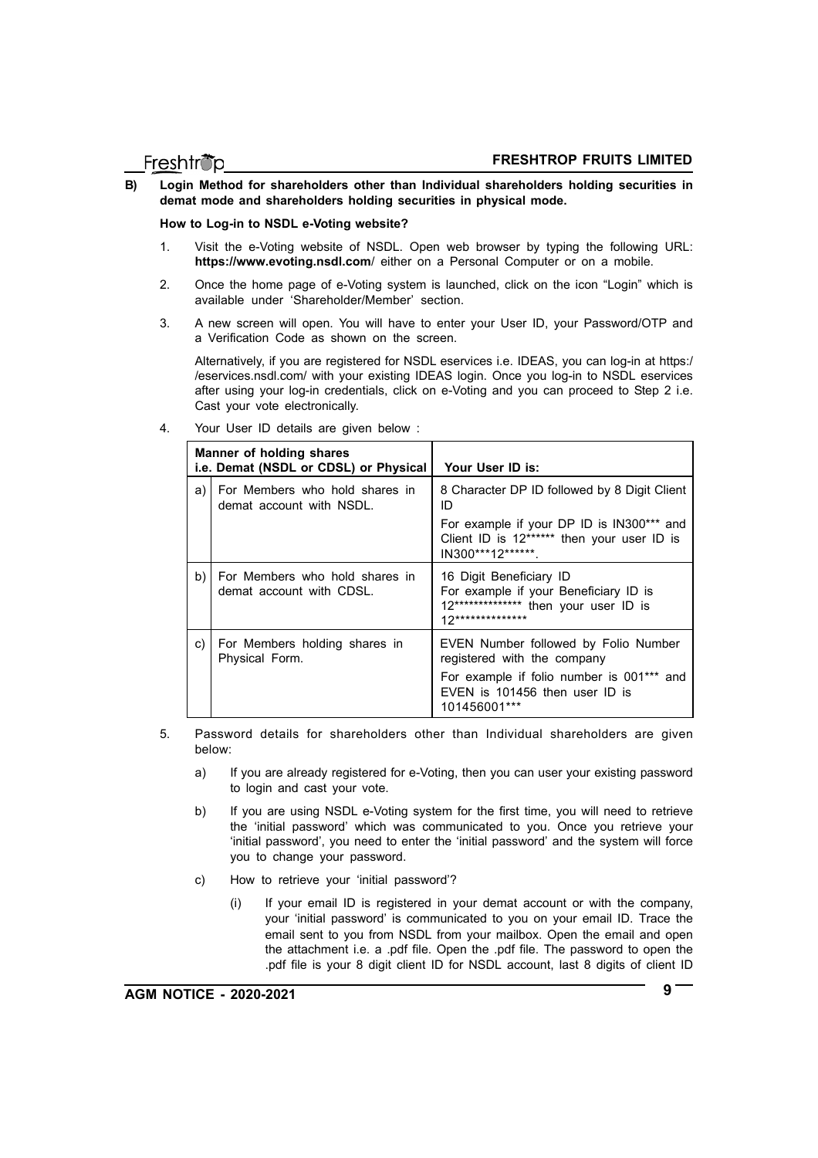**B) Login Method for shareholders other than Individual shareholders holding securities in demat mode and shareholders holding securities in physical mode.**

**How to Log-in to NSDL e-Voting website?**

- 1. Visit the e-Voting website of NSDL. Open web browser by typing the following URL: **https://www.evoting.nsdl.com**/ either on a Personal Computer or on a mobile.
- 2. Once the home page of e-Voting system is launched, click on the icon "Login" which is available under 'Shareholder/Member' section.
- 3. A new screen will open. You will have to enter your User ID, your Password/OTP and a Verification Code as shown on the screen.

Alternatively, if you are registered for NSDL eservices i.e. IDEAS, you can log-in at https:/ /eservices.nsdl.com/ with your existing IDEAS login. Once you log-in to NSDL eservices after using your log-in credentials, click on e-Voting and you can proceed to Step 2 i.e. Cast your vote electronically.

| Manner of holding shares<br>i.e. Demat (NSDL or CDSL) or Physical |                                                            | Your User ID is:                                                                                                                |
|-------------------------------------------------------------------|------------------------------------------------------------|---------------------------------------------------------------------------------------------------------------------------------|
| a)                                                                | For Members who hold shares in<br>demat account with NSDL. | 8 Character DP ID followed by 8 Digit Client<br>ID                                                                              |
|                                                                   |                                                            | For example if your DP ID is IN300*** and<br>Client ID is 12****** then your user ID is<br>IN300***12******                     |
| b)                                                                | For Members who hold shares in<br>demat account with CDSL. | 16 Digit Beneficiary ID<br>For example if your Beneficiary ID is<br>12*************** then your user ID is<br>12 ************** |
| C)                                                                | For Members holding shares in<br>Physical Form.            | EVEN Number followed by Folio Number<br>registered with the company                                                             |
|                                                                   |                                                            | For example if folio number is 001*** and<br>EVEN is 101456 then user ID is<br>101456001***                                     |

4. Your User ID details are given below :

- 5. Password details for shareholders other than Individual shareholders are given below:
	- a) If you are already registered for e-Voting, then you can user your existing password to login and cast your vote.
	- b) If you are using NSDL e-Voting system for the first time, you will need to retrieve the 'initial password' which was communicated to you. Once you retrieve your 'initial password', you need to enter the 'initial password' and the system will force you to change your password.
	- c) How to retrieve your 'initial password'?
		- (i) If your email ID is registered in your demat account or with the company, your 'initial password' is communicated to you on your email ID. Trace the email sent to you from NSDL from your mailbox. Open the email and open the attachment i.e. a .pdf file. Open the .pdf file. The password to open the .pdf file is your 8 digit client ID for NSDL account, last 8 digits of client ID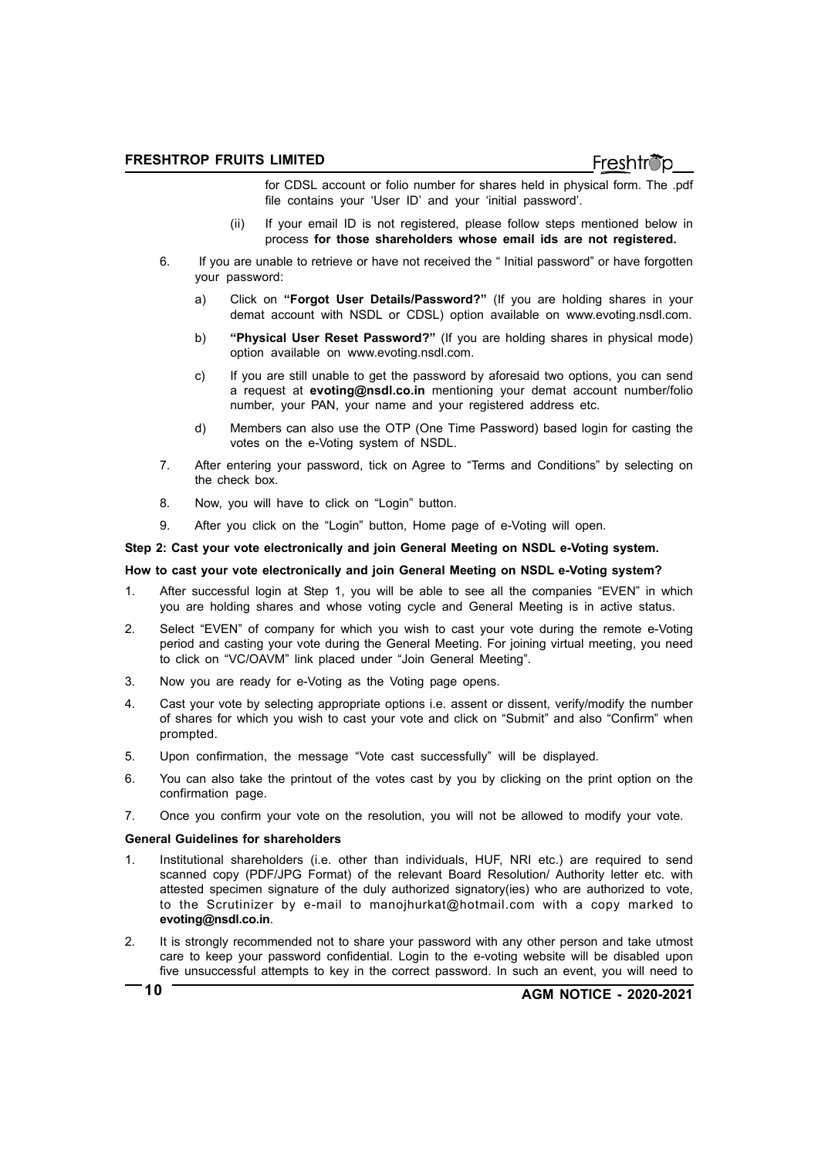- for CDSL account or folio number for shares held in physical form. The .pdf file contains your 'User ID' and your 'initial password'.
- (ii) If your email ID is not registered, please follow steps mentioned below in process **for those shareholders whose email ids are not registered.**
- 6. If you are unable to retrieve or have not received the " Initial password" or have forgotten your password:
	- a) Click on **"Forgot User Details/Password?"** (If you are holding shares in your demat account with NSDL or CDSL) option available on www.evoting.nsdl.com.
	- b) **"Physical User Reset Password?"** (If you are holding shares in physical mode) option available on www.evoting.nsdl.com.
	- c) If you are still unable to get the password by aforesaid two options, you can send a request at **evoting@nsdl.co.in** mentioning your demat account number/folio number, your PAN, your name and your registered address etc.
	- d) Members can also use the OTP (One Time Password) based login for casting the votes on the e-Voting system of NSDL.
- 7. After entering your password, tick on Agree to "Terms and Conditions" by selecting on the check box.
- 8. Now, you will have to click on "Login" button.
- 9. After you click on the "Login" button, Home page of e-Voting will open.

#### **Step 2: Cast your vote electronically and join General Meeting on NSDL e-Voting system.**

#### **How to cast your vote electronically and join General Meeting on NSDL e-Voting system?**

- 1. After successful login at Step 1, you will be able to see all the companies "EVEN" in which you are holding shares and whose voting cycle and General Meeting is in active status.
- 2. Select "EVEN" of company for which you wish to cast your vote during the remote e-Voting period and casting your vote during the General Meeting. For joining virtual meeting, you need to click on "VC/OAVM" link placed under "Join General Meeting".
- 3. Now you are ready for e-Voting as the Voting page opens.
- 4. Cast your vote by selecting appropriate options i.e. assent or dissent, verify/modify the number of shares for which you wish to cast your vote and click on "Submit" and also "Confirm" when prompted.
- 5. Upon confirmation, the message "Vote cast successfully" will be displayed.
- 6. You can also take the printout of the votes cast by you by clicking on the print option on the confirmation page.
- 7. Once you confirm your vote on the resolution, you will not be allowed to modify your vote.

#### **General Guidelines for shareholders**

- 1. Institutional shareholders (i.e. other than individuals, HUF, NRI etc.) are required to send scanned copy (PDF/JPG Format) of the relevant Board Resolution/ Authority letter etc. with attested specimen signature of the duly authorized signatory(ies) who are authorized to vote, to the Scrutinizer by e-mail to manojhurkat@hotmail.com with a copy marked to **evoting@nsdl.co.in**.
- 2. It is strongly recommended not to share your password with any other person and take utmost care to keep your password confidential. Login to the e-voting website will be disabled upon five unsuccessful attempts to key in the correct password. In such an event, you will need to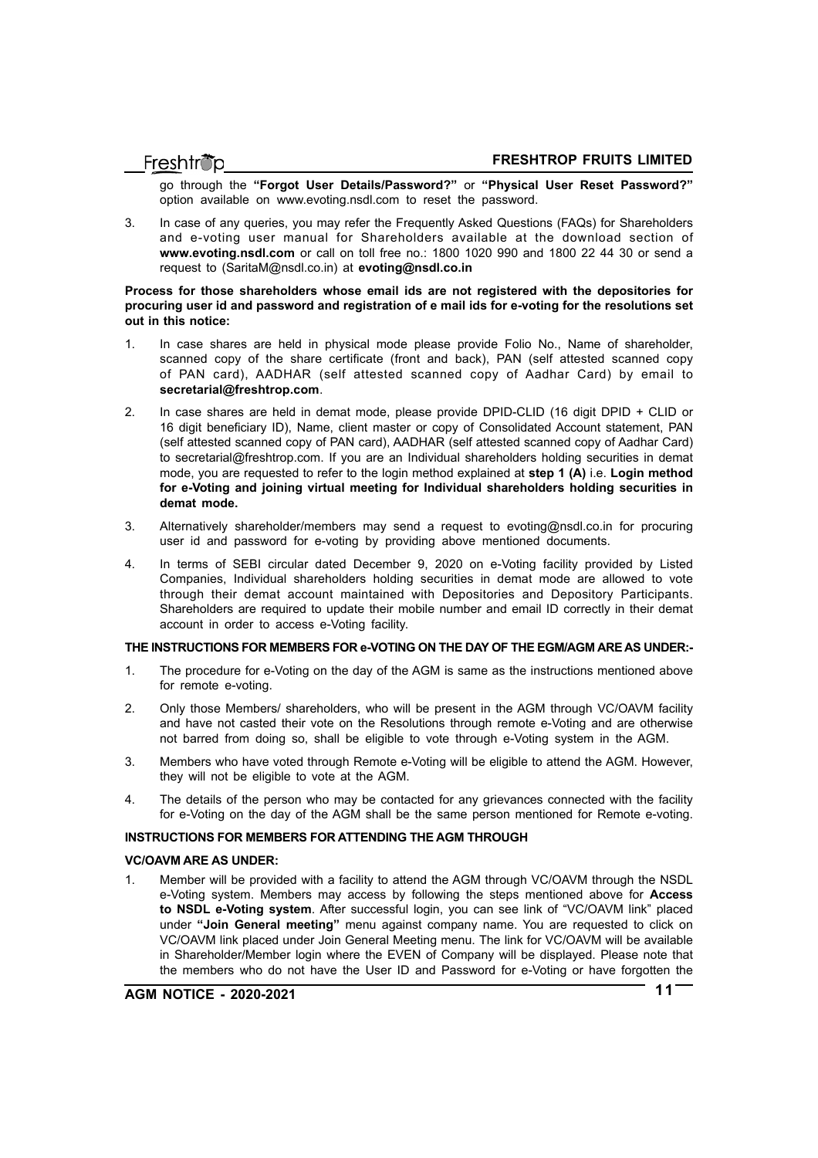go through the **"Forgot User Details/Password?"** or **"Physical User Reset Password?"** option available on www.evoting.nsdl.com to reset the password.

3. In case of any queries, you may refer the Frequently Asked Questions (FAQs) for Shareholders and e-voting user manual for Shareholders available at the download section of **www.evoting.nsdl.com** or call on toll free no.: 1800 1020 990 and 1800 22 44 30 or send a request to (SaritaM@nsdl.co.in) at **evoting@nsdl.co.in**

#### **Process for those shareholders whose email ids are not registered with the depositories for procuring user id and password and registration of e mail ids for e-voting for the resolutions set out in this notice:**

- 1. In case shares are held in physical mode please provide Folio No., Name of shareholder, scanned copy of the share certificate (front and back), PAN (self attested scanned copy of PAN card), AADHAR (self attested scanned copy of Aadhar Card) by email to **secretarial@freshtrop.com**.
- 2. In case shares are held in demat mode, please provide DPID-CLID (16 digit DPID + CLID or 16 digit beneficiary ID), Name, client master or copy of Consolidated Account statement, PAN (self attested scanned copy of PAN card), AADHAR (self attested scanned copy of Aadhar Card) to secretarial@freshtrop.com. If you are an Individual shareholders holding securities in demat mode, you are requested to refer to the login method explained at **step 1 (A)** i.e. **Login method for e-Voting and joining virtual meeting for Individual shareholders holding securities in demat mode.**
- 3. Alternatively shareholder/members may send a request to evoting@nsdl.co.in for procuring user id and password for e-voting by providing above mentioned documents.
- 4. In terms of SEBI circular dated December 9, 2020 on e-Voting facility provided by Listed Companies, Individual shareholders holding securities in demat mode are allowed to vote through their demat account maintained with Depositories and Depository Participants. Shareholders are required to update their mobile number and email ID correctly in their demat account in order to access e-Voting facility.

#### **THE INSTRUCTIONS FOR MEMBERS FOR e-VOTING ON THE DAY OF THE EGM/AGM ARE AS UNDER:-**

- 1. The procedure for e-Voting on the day of the AGM is same as the instructions mentioned above for remote e-voting.
- 2. Only those Members/ shareholders, who will be present in the AGM through VC/OAVM facility and have not casted their vote on the Resolutions through remote e-Voting and are otherwise not barred from doing so, shall be eligible to vote through e-Voting system in the AGM.
- 3. Members who have voted through Remote e-Voting will be eligible to attend the AGM. However, they will not be eligible to vote at the AGM.
- 4. The details of the person who may be contacted for any grievances connected with the facility for e-Voting on the day of the AGM shall be the same person mentioned for Remote e-voting.

#### **INSTRUCTIONS FOR MEMBERS FOR ATTENDING THE AGM THROUGH**

#### **VC/OAVM ARE AS UNDER:**

1. Member will be provided with a facility to attend the AGM through VC/OAVM through the NSDL e-Voting system. Members may access by following the steps mentioned above for **Access to NSDL e-Voting system**. After successful login, you can see link of "VC/OAVM link" placed under **"Join General meeting"** menu against company name. You are requested to click on VC/OAVM link placed under Join General Meeting menu. The link for VC/OAVM will be available in Shareholder/Member login where the EVEN of Company will be displayed. Please note that the members who do not have the User ID and Password for e-Voting or have forgotten the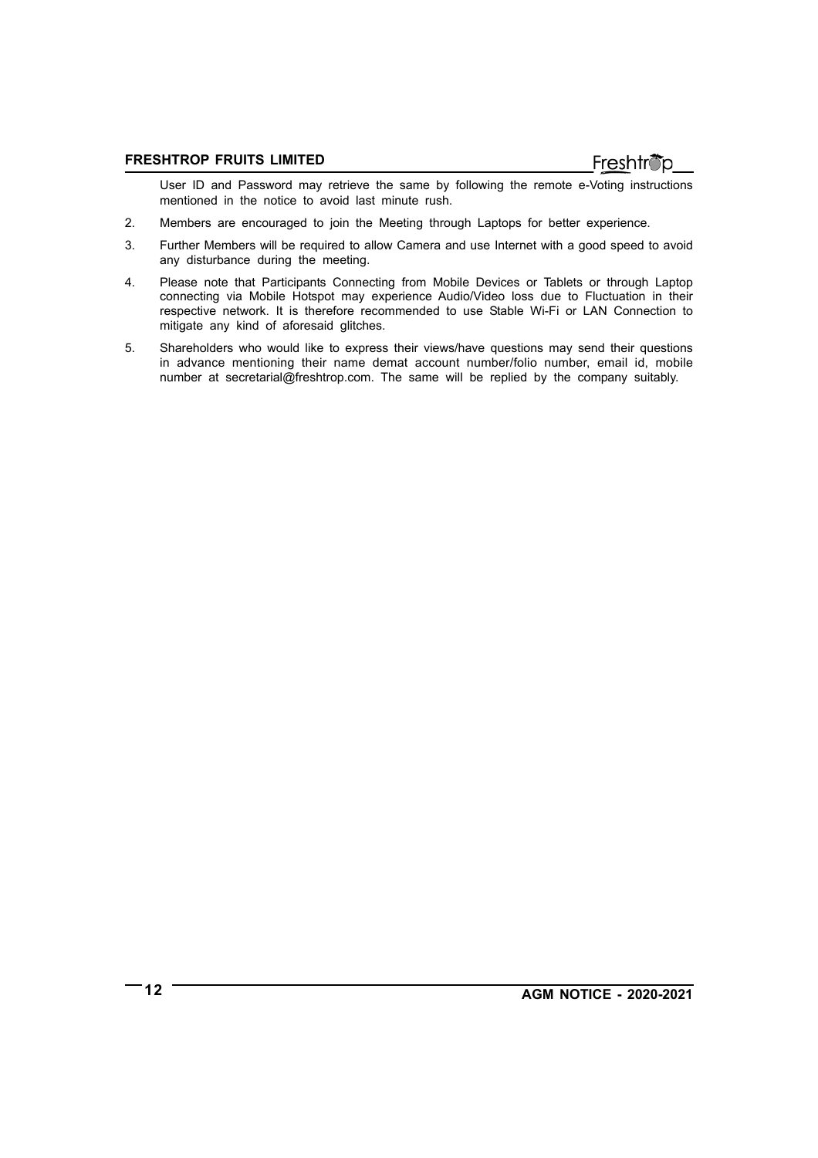User ID and Password may retrieve the same by following the remote e-Voting instructions mentioned in the notice to avoid last minute rush.

- 2. Members are encouraged to join the Meeting through Laptops for better experience.
- 3. Further Members will be required to allow Camera and use Internet with a good speed to avoid any disturbance during the meeting.
- 4. Please note that Participants Connecting from Mobile Devices or Tablets or through Laptop connecting via Mobile Hotspot may experience Audio/Video loss due to Fluctuation in their respective network. It is therefore recommended to use Stable Wi-Fi or LAN Connection to mitigate any kind of aforesaid glitches.
- 5. Shareholders who would like to express their views/have questions may send their questions in advance mentioning their name demat account number/folio number, email id, mobile number at secretarial@freshtrop.com. The same will be replied by the company suitably.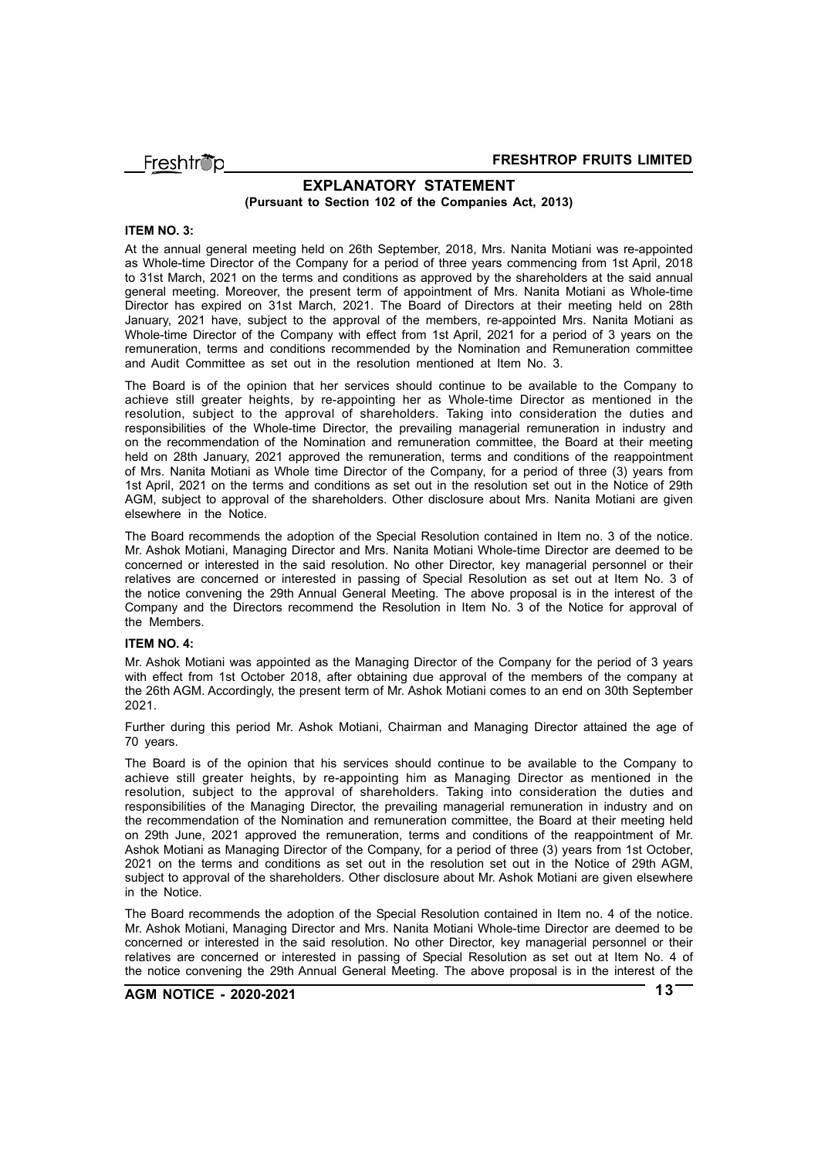Freshtröp

#### **EXPLANATORY STATEMENT (Pursuant to Section 102 of the Companies Act, 2013)**

#### **ITEM NO. 3:**

At the annual general meeting held on 26th September, 2018, Mrs. Nanita Motiani was re-appointed as Whole-time Director of the Company for a period of three years commencing from 1st April, 2018 to 31st March, 2021 on the terms and conditions as approved by the shareholders at the said annual general meeting. Moreover, the present term of appointment of Mrs. Nanita Motiani as Whole-time Director has expired on 31st March, 2021. The Board of Directors at their meeting held on 28th January, 2021 have, subject to the approval of the members, re-appointed Mrs. Nanita Motiani as Whole-time Director of the Company with effect from 1st April, 2021 for a period of 3 years on the remuneration, terms and conditions recommended by the Nomination and Remuneration committee and Audit Committee as set out in the resolution mentioned at Item No. 3.

The Board is of the opinion that her services should continue to be available to the Company to achieve still greater heights, by re-appointing her as Whole-time Director as mentioned in the resolution, subject to the approval of shareholders. Taking into consideration the duties and responsibilities of the Whole-time Director, the prevailing managerial remuneration in industry and on the recommendation of the Nomination and remuneration committee, the Board at their meeting held on 28th January, 2021 approved the remuneration, terms and conditions of the reappointment of Mrs. Nanita Motiani as Whole time Director of the Company, for a period of three (3) years from 1st April, 2021 on the terms and conditions as set out in the resolution set out in the Notice of 29th AGM, subject to approval of the shareholders. Other disclosure about Mrs. Nanita Motiani are given elsewhere in the Notice.

The Board recommends the adoption of the Special Resolution contained in Item no. 3 of the notice. Mr. Ashok Motiani, Managing Director and Mrs. Nanita Motiani Whole-time Director are deemed to be concerned or interested in the said resolution. No other Director, key managerial personnel or their relatives are concerned or interested in passing of Special Resolution as set out at Item No. 3 of the notice convening the 29th Annual General Meeting. The above proposal is in the interest of the Company and the Directors recommend the Resolution in Item No. 3 of the Notice for approval of the Members.

#### **ITEM NO. 4:**

Mr. Ashok Motiani was appointed as the Managing Director of the Company for the period of 3 years with effect from 1st October 2018, after obtaining due approval of the members of the company at the 26th AGM. Accordingly, the present term of Mr. Ashok Motiani comes to an end on 30th September 2021.

Further during this period Mr. Ashok Motiani, Chairman and Managing Director attained the age of 70 years.

The Board is of the opinion that his services should continue to be available to the Company to achieve still greater heights, by re-appointing him as Managing Director as mentioned in the resolution, subject to the approval of shareholders. Taking into consideration the duties and responsibilities of the Managing Director, the prevailing managerial remuneration in industry and on the recommendation of the Nomination and remuneration committee, the Board at their meeting held on 29th June, 2021 approved the remuneration, terms and conditions of the reappointment of Mr. Ashok Motiani as Managing Director of the Company, for a period of three (3) years from 1st October, 2021 on the terms and conditions as set out in the resolution set out in the Notice of 29th AGM, subject to approval of the shareholders. Other disclosure about Mr. Ashok Motiani are given elsewhere in the Notice.

The Board recommends the adoption of the Special Resolution contained in Item no. 4 of the notice. Mr. Ashok Motiani, Managing Director and Mrs. Nanita Motiani Whole-time Director are deemed to be concerned or interested in the said resolution. No other Director, key managerial personnel or their relatives are concerned or interested in passing of Special Resolution as set out at Item No. 4 of the notice convening the 29th Annual General Meeting. The above proposal is in the interest of the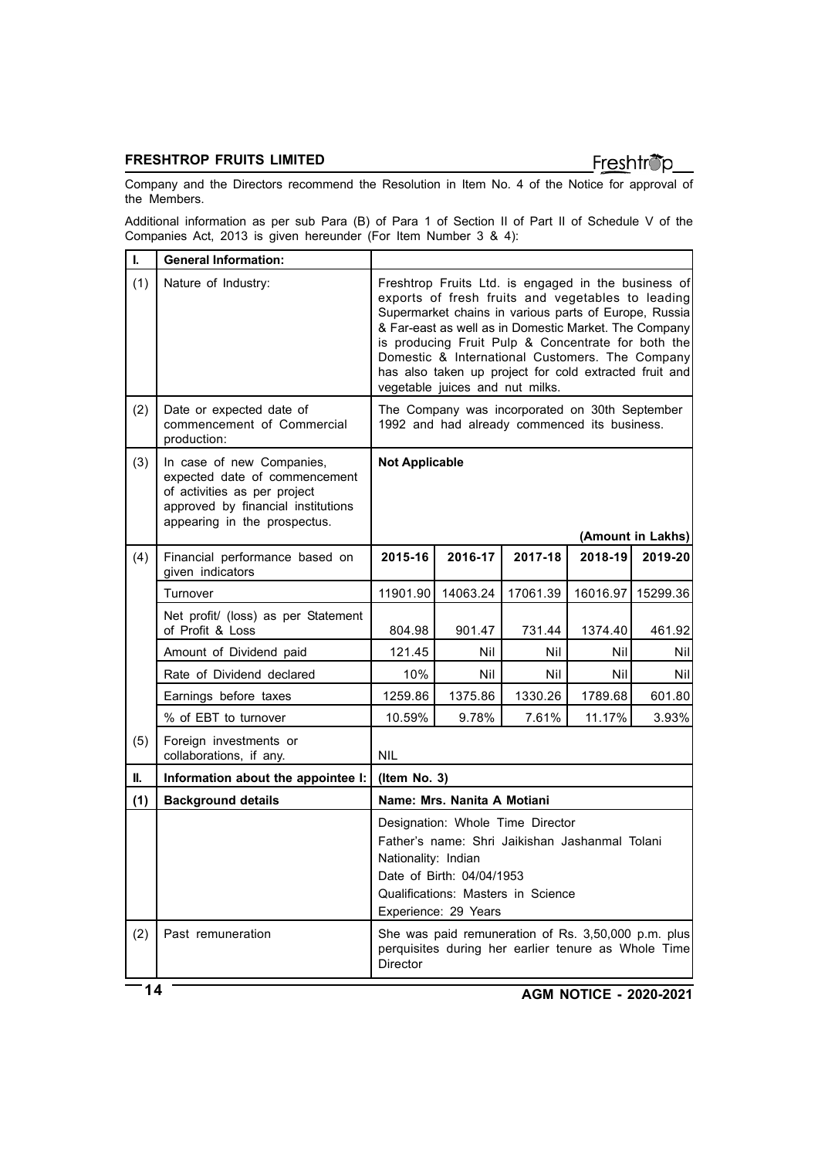# Freshtrop

Company and the Directors recommend the Resolution in Item No. 4 of the Notice for approval of the Members.

Additional information as per sub Para (B) of Para 1 of Section II of Part II of Schedule V of the Companies Act, 2013 is given hereunder (For Item Number 3 & 4):

| L   | <b>General Information:</b>                                                                                                                                      |                                                                                                                                                                                                                                                                                                                                                                                                                                  |                                                                                                            |          |          |          |
|-----|------------------------------------------------------------------------------------------------------------------------------------------------------------------|----------------------------------------------------------------------------------------------------------------------------------------------------------------------------------------------------------------------------------------------------------------------------------------------------------------------------------------------------------------------------------------------------------------------------------|------------------------------------------------------------------------------------------------------------|----------|----------|----------|
| (1) | Nature of Industry:                                                                                                                                              | Freshtrop Fruits Ltd. is engaged in the business of<br>exports of fresh fruits and vegetables to leading<br>Supermarket chains in various parts of Europe, Russia<br>& Far-east as well as in Domestic Market. The Company<br>is producing Fruit Pulp & Concentrate for both the<br>Domestic & International Customers. The Company<br>has also taken up project for cold extracted fruit and<br>vegetable juices and nut milks. |                                                                                                            |          |          |          |
| (2) | Date or expected date of<br>commencement of Commercial<br>production:                                                                                            | The Company was incorporated on 30th September<br>1992 and had already commenced its business.                                                                                                                                                                                                                                                                                                                                   |                                                                                                            |          |          |          |
| (3) | In case of new Companies,<br>expected date of commencement<br>of activities as per project<br>approved by financial institutions<br>appearing in the prospectus. | <b>Not Applicable</b><br>(Amount in Lakhs)                                                                                                                                                                                                                                                                                                                                                                                       |                                                                                                            |          |          |          |
| (4) | Financial performance based on                                                                                                                                   | 2015-16                                                                                                                                                                                                                                                                                                                                                                                                                          | 2016-17                                                                                                    | 2017-18  | 2018-19  | 2019-20  |
|     | given indicators                                                                                                                                                 |                                                                                                                                                                                                                                                                                                                                                                                                                                  |                                                                                                            |          |          |          |
|     | Turnover                                                                                                                                                         | 11901.90                                                                                                                                                                                                                                                                                                                                                                                                                         | 14063.24                                                                                                   | 17061.39 | 16016.97 | 15299.36 |
|     | Net profit/ (loss) as per Statement<br>of Profit & Loss                                                                                                          | 804.98                                                                                                                                                                                                                                                                                                                                                                                                                           | 901.47                                                                                                     | 731.44   | 1374.40  | 461.92   |
|     | Amount of Dividend paid                                                                                                                                          | 121.45                                                                                                                                                                                                                                                                                                                                                                                                                           | Nil                                                                                                        | Nil      | Nil      | Nil      |
|     | Rate of Dividend declared                                                                                                                                        | 10%                                                                                                                                                                                                                                                                                                                                                                                                                              | Nil                                                                                                        | Nil      | Nil      | Nil      |
|     | Earnings before taxes                                                                                                                                            | 1259.86                                                                                                                                                                                                                                                                                                                                                                                                                          | 1375.86                                                                                                    | 1330.26  | 1789.68  | 601.80   |
|     | % of EBT to turnover                                                                                                                                             | 10.59%                                                                                                                                                                                                                                                                                                                                                                                                                           | 9.78%                                                                                                      | 7.61%    | 11.17%   | 3.93%    |
| (5) | Foreign investments or<br>collaborations, if any.                                                                                                                | <b>NIL</b>                                                                                                                                                                                                                                                                                                                                                                                                                       |                                                                                                            |          |          |          |
| II. | Information about the appointee I:                                                                                                                               | (Item No. 3)                                                                                                                                                                                                                                                                                                                                                                                                                     |                                                                                                            |          |          |          |
| (1) | <b>Background details</b>                                                                                                                                        | Name: Mrs. Nanita A Motiani                                                                                                                                                                                                                                                                                                                                                                                                      |                                                                                                            |          |          |          |
|     |                                                                                                                                                                  | Designation: Whole Time Director<br>Father's name: Shri Jaikishan Jashanmal Tolani<br>Nationality: Indian<br>Date of Birth: 04/04/1953<br>Qualifications: Masters in Science<br>Experience: 29 Years                                                                                                                                                                                                                             |                                                                                                            |          |          |          |
| (2) | Past remuneration                                                                                                                                                | Director                                                                                                                                                                                                                                                                                                                                                                                                                         | She was paid remuneration of Rs. 3,50,000 p.m. plus<br>perquisites during her earlier tenure as Whole Time |          |          |          |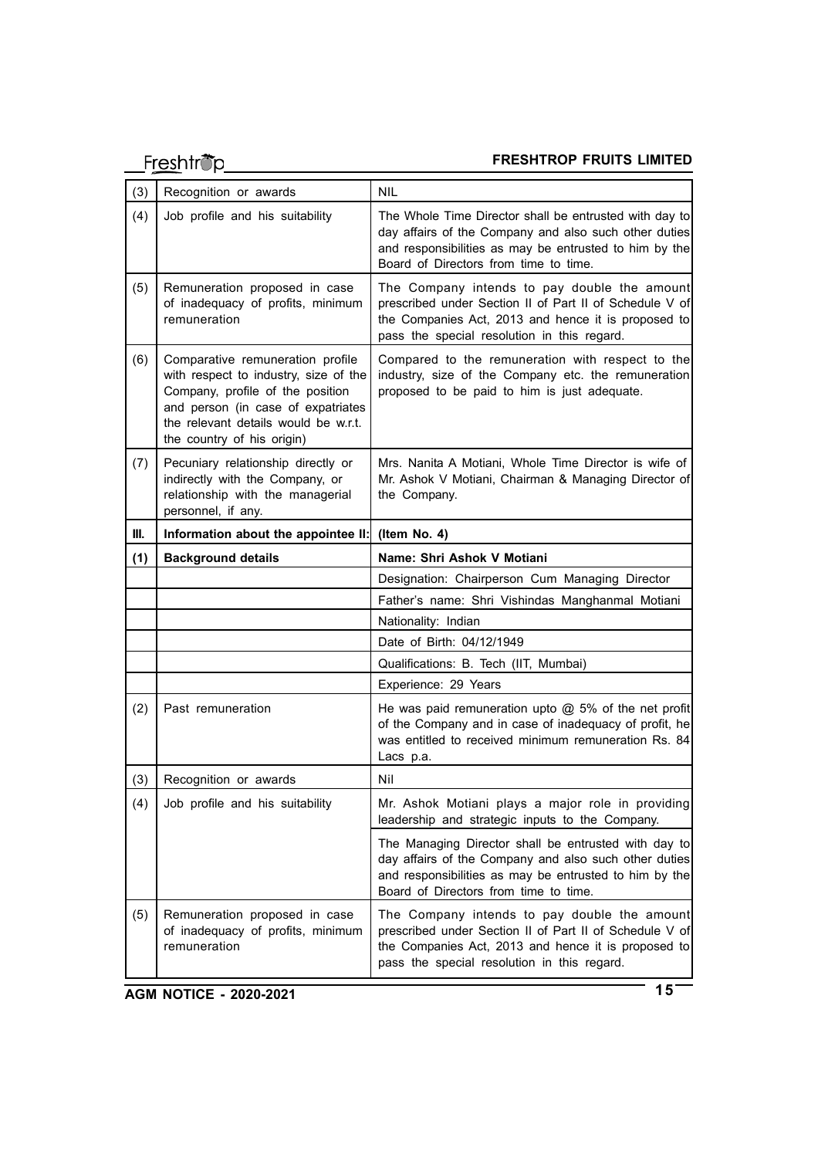# **Freshtrop FRESHTROP FRUITS LIMITED**

| (3) | Recognition or awards                                                                                                                                                                                                     | <b>NIL</b>                                                                                                                                                                                                         |  |  |
|-----|---------------------------------------------------------------------------------------------------------------------------------------------------------------------------------------------------------------------------|--------------------------------------------------------------------------------------------------------------------------------------------------------------------------------------------------------------------|--|--|
| (4) | Job profile and his suitability                                                                                                                                                                                           | The Whole Time Director shall be entrusted with day to<br>day affairs of the Company and also such other duties<br>and responsibilities as may be entrusted to him by the<br>Board of Directors from time to time. |  |  |
| (5) | Remuneration proposed in case<br>of inadequacy of profits, minimum<br>remuneration                                                                                                                                        | The Company intends to pay double the amount<br>prescribed under Section II of Part II of Schedule V of<br>the Companies Act, 2013 and hence it is proposed to<br>pass the special resolution in this regard.      |  |  |
| (6) | Comparative remuneration profile<br>with respect to industry, size of the<br>Company, profile of the position<br>and person (in case of expatriates<br>the relevant details would be w.r.t.<br>the country of his origin) | Compared to the remuneration with respect to the<br>industry, size of the Company etc. the remuneration<br>proposed to be paid to him is just adequate.                                                            |  |  |
| (7) | Pecuniary relationship directly or<br>indirectly with the Company, or<br>relationship with the managerial<br>personnel, if any.                                                                                           | Mrs. Nanita A Motiani, Whole Time Director is wife of<br>Mr. Ashok V Motiani, Chairman & Managing Director of<br>the Company.                                                                                      |  |  |
| Ш.  | Information about the appointee II:                                                                                                                                                                                       | (Item No. 4)                                                                                                                                                                                                       |  |  |
| (1) | <b>Background details</b>                                                                                                                                                                                                 | Name: Shri Ashok V Motiani                                                                                                                                                                                         |  |  |
|     |                                                                                                                                                                                                                           | Designation: Chairperson Cum Managing Director                                                                                                                                                                     |  |  |
|     |                                                                                                                                                                                                                           | Father's name: Shri Vishindas Manghanmal Motiani                                                                                                                                                                   |  |  |
|     |                                                                                                                                                                                                                           | Nationality: Indian                                                                                                                                                                                                |  |  |
|     |                                                                                                                                                                                                                           | Date of Birth: 04/12/1949                                                                                                                                                                                          |  |  |
|     |                                                                                                                                                                                                                           | Qualifications: B. Tech (IIT, Mumbai)                                                                                                                                                                              |  |  |
|     |                                                                                                                                                                                                                           | Experience: 29 Years                                                                                                                                                                                               |  |  |
| (2) | Past remuneration                                                                                                                                                                                                         | He was paid remuneration upto $@$ 5% of the net profit<br>of the Company and in case of inadequacy of profit, he<br>was entitled to received minimum remuneration Rs. 84<br>Lacs p.a.                              |  |  |
| (3) | Recognition or awards                                                                                                                                                                                                     | Nil                                                                                                                                                                                                                |  |  |
| (4) | Job profile and his suitability                                                                                                                                                                                           | Mr. Ashok Motiani plays a major role in providing<br>leadership and strategic inputs to the Company.                                                                                                               |  |  |
|     |                                                                                                                                                                                                                           | The Managing Director shall be entrusted with day to<br>day affairs of the Company and also such other duties<br>and responsibilities as may be entrusted to him by the<br>Board of Directors from time to time.   |  |  |
| (5) | Remuneration proposed in case<br>of inadequacy of profits, minimum<br>remuneration                                                                                                                                        | The Company intends to pay double the amount<br>prescribed under Section II of Part II of Schedule V of<br>the Companies Act, 2013 and hence it is proposed to<br>pass the special resolution in this regard.      |  |  |
|     | <b>AGM NOTICE - 2020-2021</b>                                                                                                                                                                                             | 15                                                                                                                                                                                                                 |  |  |

**AGM NOTICE - 2020-2021**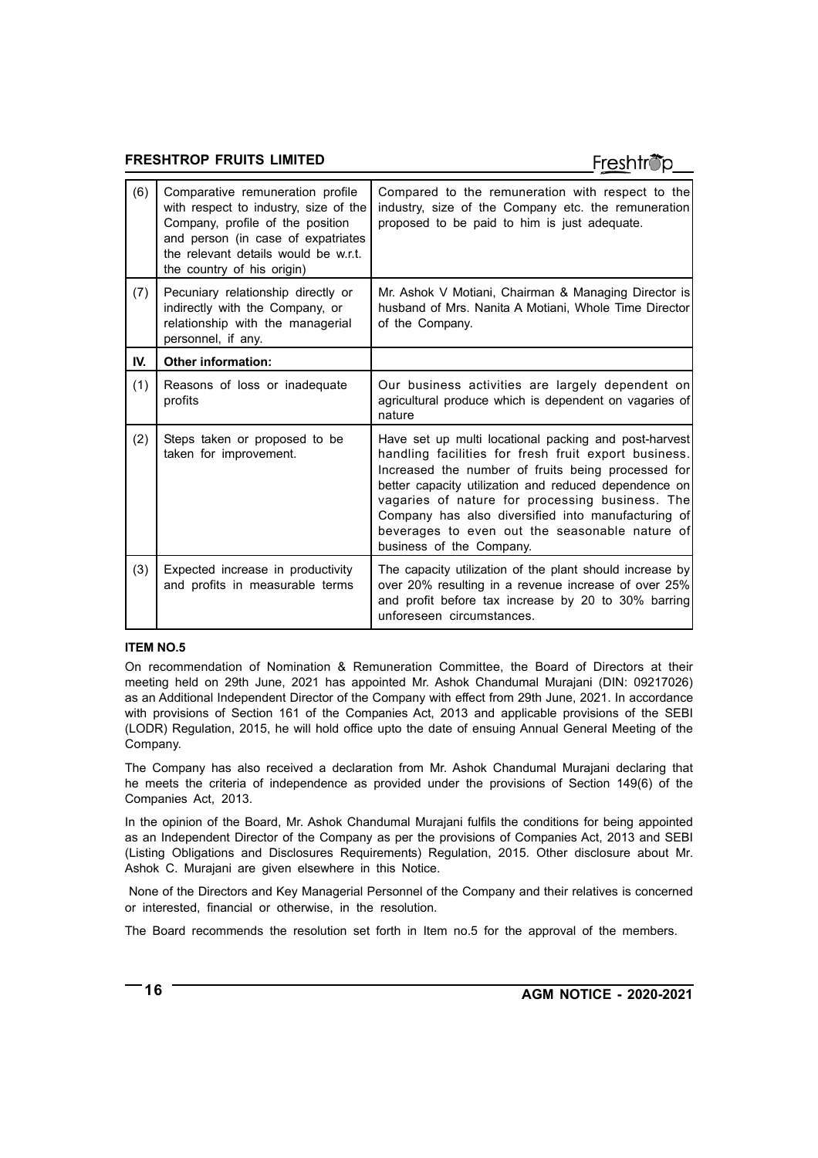# Freshtröp

| (6) | Comparative remuneration profile<br>with respect to industry, size of the<br>Company, profile of the position<br>and person (in case of expatriates<br>the relevant details would be w.r.t.<br>the country of his origin) | Compared to the remuneration with respect to the<br>industry, size of the Company etc. the remuneration<br>proposed to be paid to him is just adequate.                                                                                                                                                                                                                                                             |
|-----|---------------------------------------------------------------------------------------------------------------------------------------------------------------------------------------------------------------------------|---------------------------------------------------------------------------------------------------------------------------------------------------------------------------------------------------------------------------------------------------------------------------------------------------------------------------------------------------------------------------------------------------------------------|
| (7) | Pecuniary relationship directly or<br>indirectly with the Company, or<br>relationship with the managerial<br>personnel, if any.                                                                                           | Mr. Ashok V Motiani, Chairman & Managing Director is<br>husband of Mrs. Nanita A Motiani, Whole Time Director<br>of the Company.                                                                                                                                                                                                                                                                                    |
| IV. | <b>Other information:</b>                                                                                                                                                                                                 |                                                                                                                                                                                                                                                                                                                                                                                                                     |
| (1) | Reasons of loss or inadequate<br>profits                                                                                                                                                                                  | Our business activities are largely dependent on<br>agricultural produce which is dependent on vagaries of<br>nature                                                                                                                                                                                                                                                                                                |
| (2) | Steps taken or proposed to be<br>taken for improvement.                                                                                                                                                                   | Have set up multi locational packing and post-harvest<br>handling facilities for fresh fruit export business.<br>Increased the number of fruits being processed for<br>better capacity utilization and reduced dependence on<br>vagaries of nature for processing business. The<br>Company has also diversified into manufacturing of<br>beverages to even out the seasonable nature of<br>business of the Company. |
| (3) | Expected increase in productivity<br>and profits in measurable terms                                                                                                                                                      | The capacity utilization of the plant should increase by<br>over 20% resulting in a revenue increase of over 25%<br>and profit before tax increase by 20 to 30% barring<br>unforeseen circumstances.                                                                                                                                                                                                                |

#### **ITEM NO.5**

On recommendation of Nomination & Remuneration Committee, the Board of Directors at their meeting held on 29th June, 2021 has appointed Mr. Ashok Chandumal Murajani (DIN: 09217026) as an Additional Independent Director of the Company with effect from 29th June, 2021. In accordance with provisions of Section 161 of the Companies Act, 2013 and applicable provisions of the SEBI (LODR) Regulation, 2015, he will hold office upto the date of ensuing Annual General Meeting of the Company.

The Company has also received a declaration from Mr. Ashok Chandumal Murajani declaring that he meets the criteria of independence as provided under the provisions of Section 149(6) of the Companies Act, 2013.

In the opinion of the Board, Mr. Ashok Chandumal Murajani fulfils the conditions for being appointed as an Independent Director of the Company as per the provisions of Companies Act, 2013 and SEBI (Listing Obligations and Disclosures Requirements) Regulation, 2015. Other disclosure about Mr. Ashok C. Murajani are given elsewhere in this Notice.

 None of the Directors and Key Managerial Personnel of the Company and their relatives is concerned or interested, financial or otherwise, in the resolution.

The Board recommends the resolution set forth in Item no.5 for the approval of the members.